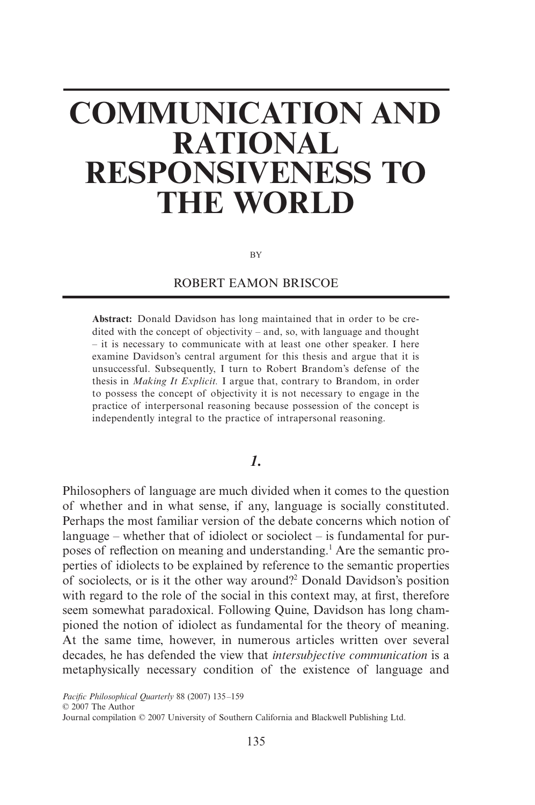# **COMMUNICATION AND RATIONAL RESPONSIVENESS TO THE WORLD**

**B**Y

### ROBERT EAMON BRISCOE

**Abstract:** Donald Davidson has long maintained that in order to be credited with the concept of objectivity – and, so, with language and thought – it is necessary to communicate with at least one other speaker. I here examine Davidson's central argument for this thesis and argue that it is unsuccessful. Subsequently, I turn to Robert Brandom's defense of the thesis in *Making It Explicit.* I argue that, contrary to Brandom, in order to possess the concept of objectivity it is not necessary to engage in the practice of interpersonal reasoning because possession of the concept is independently integral to the practice of intrapersonal reasoning.

#### *1.*

Philosophers of language are much divided when it comes to the question of whether and in what sense, if any, language is socially constituted. Perhaps the most familiar version of the debate concerns which notion of language – whether that of idiolect or sociolect – is fundamental for purposes of reflection on meaning and understanding.<sup>1</sup> Are the semantic properties of idiolects to be explained by reference to the semantic properties of sociolects, or is it the other way around?2 Donald Davidson's position with regard to the role of the social in this context may, at first, therefore seem somewhat paradoxical. Following Quine, Davidson has long championed the notion of idiolect as fundamental for the theory of meaning. At the same time, however, in numerous articles written over several decades, he has defended the view that *intersubjective communication* is a metaphysically necessary condition of the existence of language and

*Pacific Philosophical Quarterly* 88 (2007) 135–159

© 2007 The Author

Journal compilation © 2007 University of Southern California and Blackwell Publishing Ltd.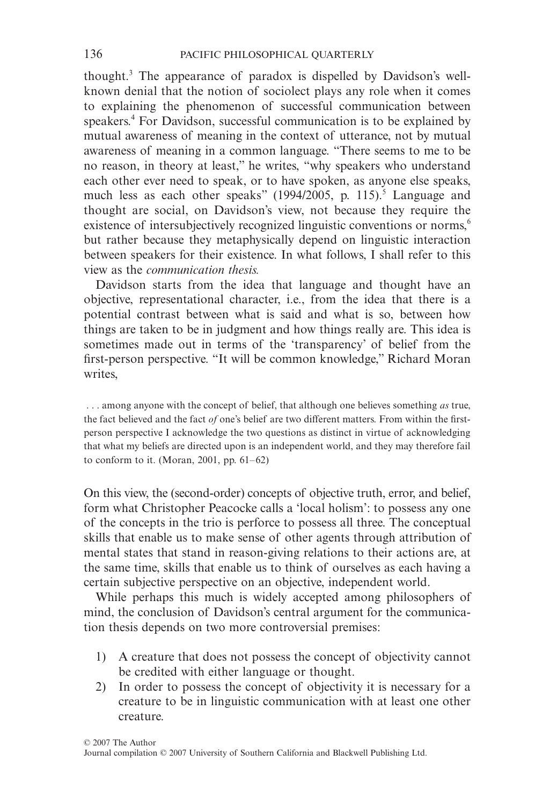thought.3 The appearance of paradox is dispelled by Davidson's wellknown denial that the notion of sociolect plays any role when it comes to explaining the phenomenon of successful communication between speakers.<sup>4</sup> For Davidson, successful communication is to be explained by mutual awareness of meaning in the context of utterance, not by mutual awareness of meaning in a common language. "There seems to me to be no reason, in theory at least," he writes, "why speakers who understand each other ever need to speak, or to have spoken, as anyone else speaks, much less as each other speaks" (1994/2005, p. 115).<sup>5</sup> Language and thought are social, on Davidson's view, not because they require the existence of intersubjectively recognized linguistic conventions or norms,<sup>6</sup> but rather because they metaphysically depend on linguistic interaction between speakers for their existence. In what follows, I shall refer to this view as the *communication thesis.*

Davidson starts from the idea that language and thought have an objective, representational character, i.e., from the idea that there is a potential contrast between what is said and what is so, between how things are taken to be in judgment and how things really are. This idea is sometimes made out in terms of the 'transparency' of belief from the first-person perspective. "It will be common knowledge," Richard Moran writes,

 . . . among anyone with the concept of belief, that although one believes something *as* true, the fact believed and the fact *of* one's belief are two different matters. From within the firstperson perspective I acknowledge the two questions as distinct in virtue of acknowledging that what my beliefs are directed upon is an independent world, and they may therefore fail to conform to it. (Moran, 2001, pp. 61–62)

On this view, the (second-order) concepts of objective truth, error, and belief, form what Christopher Peacocke calls a 'local holism': to possess any one of the concepts in the trio is perforce to possess all three. The conceptual skills that enable us to make sense of other agents through attribution of mental states that stand in reason-giving relations to their actions are, at the same time, skills that enable us to think of ourselves as each having a certain subjective perspective on an objective, independent world.

While perhaps this much is widely accepted among philosophers of mind, the conclusion of Davidson's central argument for the communication thesis depends on two more controversial premises:

- 1) A creature that does not possess the concept of objectivity cannot be credited with either language or thought.
- 2) In order to possess the concept of objectivity it is necessary for a creature to be in linguistic communication with at least one other creature.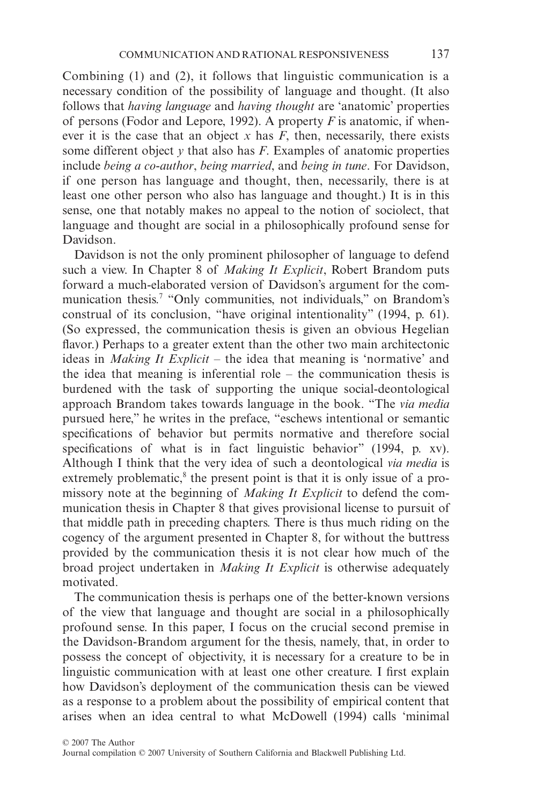Combining (1) and (2), it follows that linguistic communication is a necessary condition of the possibility of language and thought. (It also follows that *having language* and *having thought* are 'anatomic' properties of persons (Fodor and Lepore, 1992). A property *F* is anatomic, if whenever it is the case that an object  $x$  has  $F$ , then, necessarily, there exists some different object  $y$  that also has  $F$ . Examples of anatomic properties include *being a co-author*, *being married*, and *being in tune*. For Davidson, if one person has language and thought, then, necessarily, there is at least one other person who also has language and thought.) It is in this sense, one that notably makes no appeal to the notion of sociolect, that language and thought are social in a philosophically profound sense for Davidson.

Davidson is not the only prominent philosopher of language to defend such a view. In Chapter 8 of *Making It Explicit*, Robert Brandom puts forward a much-elaborated version of Davidson's argument for the communication thesis.<sup>7</sup> "Only communities, not individuals," on Brandom's construal of its conclusion, "have original intentionality" (1994, p. 61). (So expressed, the communication thesis is given an obvious Hegelian flavor.) Perhaps to a greater extent than the other two main architectonic ideas in *Making It Explicit* – the idea that meaning is 'normative' and the idea that meaning is inferential role – the communication thesis is burdened with the task of supporting the unique social-deontological approach Brandom takes towards language in the book. "The *via media* pursued here," he writes in the preface, "eschews intentional or semantic specifications of behavior but permits normative and therefore social specifications of what is in fact linguistic behavior" (1994, p. xv). Although I think that the very idea of such a deontological *via media* is extremely problematic,<sup>8</sup> the present point is that it is only issue of a promissory note at the beginning of *Making It Explicit* to defend the communication thesis in Chapter 8 that gives provisional license to pursuit of that middle path in preceding chapters. There is thus much riding on the cogency of the argument presented in Chapter 8, for without the buttress provided by the communication thesis it is not clear how much of the broad project undertaken in *Making It Explicit* is otherwise adequately motivated.

The communication thesis is perhaps one of the better-known versions of the view that language and thought are social in a philosophically profound sense. In this paper, I focus on the crucial second premise in the Davidson-Brandom argument for the thesis, namely, that, in order to possess the concept of objectivity, it is necessary for a creature to be in linguistic communication with at least one other creature. I first explain how Davidson's deployment of the communication thesis can be viewed as a response to a problem about the possibility of empirical content that arises when an idea central to what McDowell (1994) calls 'minimal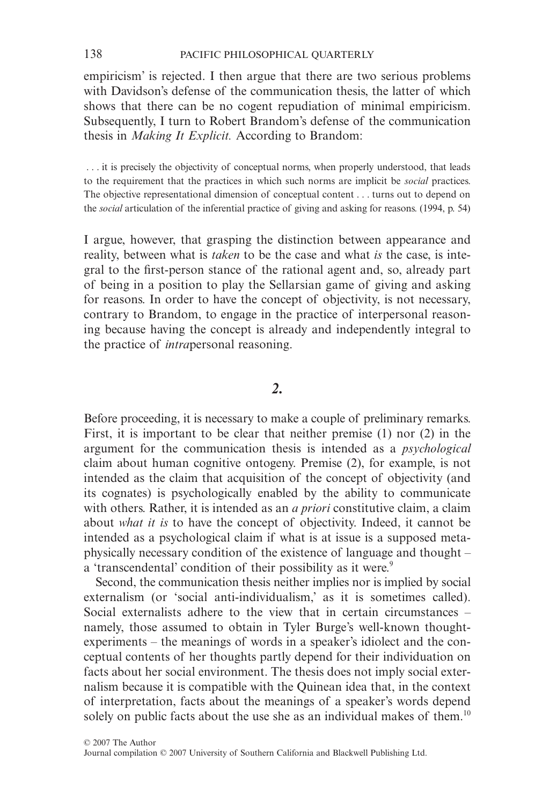empiricism' is rejected. I then argue that there are two serious problems with Davidson's defense of the communication thesis, the latter of which shows that there can be no cogent repudiation of minimal empiricism. Subsequently, I turn to Robert Brandom's defense of the communication thesis in *Making It Explicit.* According to Brandom:

. . . it is precisely the objectivity of conceptual norms, when properly understood, that leads to the requirement that the practices in which such norms are implicit be *social* practices. The objective representational dimension of conceptual content . . . turns out to depend on the *social* articulation of the inferential practice of giving and asking for reasons. (1994, p. 54)

I argue, however, that grasping the distinction between appearance and reality, between what is *taken* to be the case and what *is* the case, is integral to the first-person stance of the rational agent and, so, already part of being in a position to play the Sellarsian game of giving and asking for reasons. In order to have the concept of objectivity, is not necessary, contrary to Brandom, to engage in the practice of interpersonal reasoning because having the concept is already and independently integral to the practice of *intra*personal reasoning.

*2.*

Before proceeding, it is necessary to make a couple of preliminary remarks. First, it is important to be clear that neither premise (1) nor (2) in the argument for the communication thesis is intended as a *psychological* claim about human cognitive ontogeny. Premise (2), for example, is not intended as the claim that acquisition of the concept of objectivity (and its cognates) is psychologically enabled by the ability to communicate with others. Rather, it is intended as an *a priori* constitutive claim, a claim about *what it is* to have the concept of objectivity. Indeed, it cannot be intended as a psychological claim if what is at issue is a supposed metaphysically necessary condition of the existence of language and thought – a 'transcendental' condition of their possibility as it were.<sup>9</sup>

Second, the communication thesis neither implies nor is implied by social externalism (or 'social anti-individualism,' as it is sometimes called). Social externalists adhere to the view that in certain circumstances – namely, those assumed to obtain in Tyler Burge's well-known thoughtexperiments – the meanings of words in a speaker's idiolect and the conceptual contents of her thoughts partly depend for their individuation on facts about her social environment. The thesis does not imply social externalism because it is compatible with the Quinean idea that, in the context of interpretation, facts about the meanings of a speaker's words depend solely on public facts about the use she as an individual makes of them.<sup>10</sup>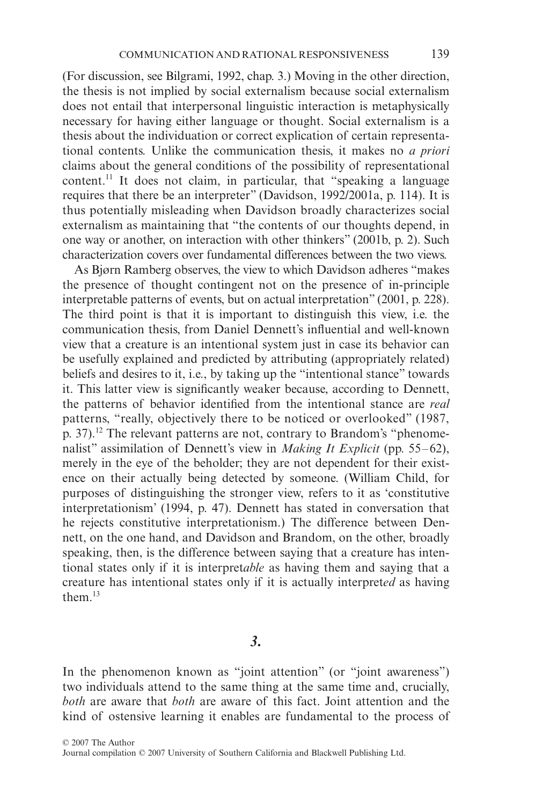(For discussion, see Bilgrami, 1992, chap. 3.) Moving in the other direction, the thesis is not implied by social externalism because social externalism does not entail that interpersonal linguistic interaction is metaphysically necessary for having either language or thought. Social externalism is a thesis about the individuation or correct explication of certain representational contents. Unlike the communication thesis, it makes no *a priori* claims about the general conditions of the possibility of representational content.11 It does not claim, in particular, that "speaking a language requires that there be an interpreter" (Davidson, 1992/2001a, p. 114). It is thus potentially misleading when Davidson broadly characterizes social externalism as maintaining that "the contents of our thoughts depend, in one way or another, on interaction with other thinkers" (2001b, p. 2). Such characterization covers over fundamental differences between the two views.

As Bjørn Ramberg observes, the view to which Davidson adheres "makes the presence of thought contingent not on the presence of in-principle interpretable patterns of events, but on actual interpretation" (2001, p. 228). The third point is that it is important to distinguish this view, i.e. the communication thesis, from Daniel Dennett's influential and well-known view that a creature is an intentional system just in case its behavior can be usefully explained and predicted by attributing (appropriately related) beliefs and desires to it, i.e., by taking up the "intentional stance" towards it. This latter view is significantly weaker because, according to Dennett, the patterns of behavior identified from the intentional stance are *real* patterns, "really, objectively there to be noticed or overlooked" (1987, p. 37).<sup>12</sup> The relevant patterns are not, contrary to Brandom's "phenomenalist" assimilation of Dennett's view in *Making It Explicit* (pp. 55–62), merely in the eye of the beholder; they are not dependent for their existence on their actually being detected by someone. (William Child, for purposes of distinguishing the stronger view, refers to it as 'constitutive interpretationism' (1994, p. 47). Dennett has stated in conversation that he rejects constitutive interpretationism.) The difference between Dennett, on the one hand, and Davidson and Brandom, on the other, broadly speaking, then, is the difference between saying that a creature has intentional states only if it is interpret*able* as having them and saying that a creature has intentional states only if it is actually interpret*ed* as having them.13

## *3.*

In the phenomenon known as "joint attention" (or "joint awareness") two individuals attend to the same thing at the same time and, crucially, *both* are aware that *both* are aware of this fact. Joint attention and the kind of ostensive learning it enables are fundamental to the process of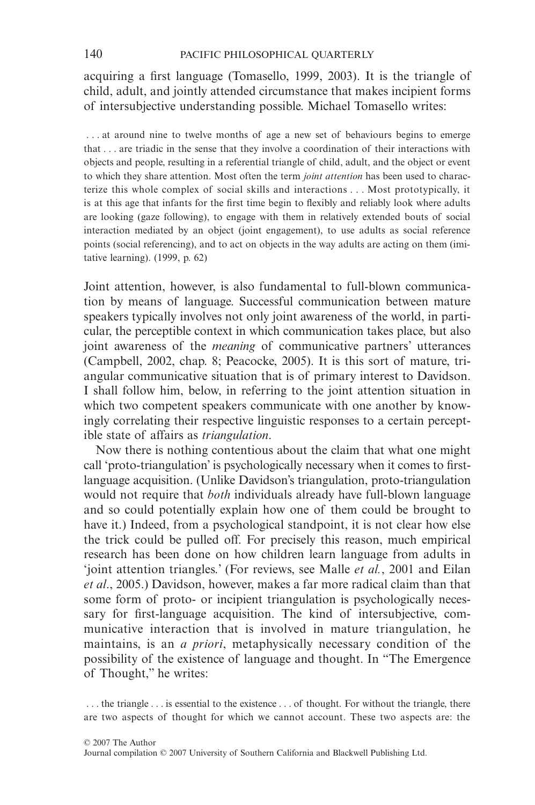acquiring a first language (Tomasello, 1999, 2003). It is the triangle of child, adult, and jointly attended circumstance that makes incipient forms of intersubjective understanding possible. Michael Tomasello writes:

 . . . at around nine to twelve months of age a new set of behaviours begins to emerge that . . . are triadic in the sense that they involve a coordination of their interactions with objects and people, resulting in a referential triangle of child, adult, and the object or event to which they share attention. Most often the term *joint attention* has been used to characterize this whole complex of social skills and interactions . . . Most prototypically, it is at this age that infants for the first time begin to flexibly and reliably look where adults are looking (gaze following), to engage with them in relatively extended bouts of social interaction mediated by an object (joint engagement), to use adults as social reference points (social referencing), and to act on objects in the way adults are acting on them (imitative learning). (1999, p. 62)

Joint attention, however, is also fundamental to full-blown communication by means of language. Successful communication between mature speakers typically involves not only joint awareness of the world, in particular, the perceptible context in which communication takes place, but also joint awareness of the *meaning* of communicative partners' utterances (Campbell, 2002, chap. 8; Peacocke, 2005). It is this sort of mature, triangular communicative situation that is of primary interest to Davidson. I shall follow him, below, in referring to the joint attention situation in which two competent speakers communicate with one another by knowingly correlating their respective linguistic responses to a certain perceptible state of affairs as *triangulation*.

Now there is nothing contentious about the claim that what one might call 'proto-triangulation' is psychologically necessary when it comes to firstlanguage acquisition. (Unlike Davidson's triangulation, proto-triangulation would not require that *both* individuals already have full-blown language and so could potentially explain how one of them could be brought to have it.) Indeed, from a psychological standpoint, it is not clear how else the trick could be pulled off. For precisely this reason, much empirical research has been done on how children learn language from adults in 'joint attention triangles.' (For reviews, see Malle *et al.*, 2001 and Eilan *et al*., 2005.) Davidson, however, makes a far more radical claim than that some form of proto- or incipient triangulation is psychologically necessary for first-language acquisition. The kind of intersubjective, communicative interaction that is involved in mature triangulation, he maintains, is an *a priori*, metaphysically necessary condition of the possibility of the existence of language and thought. In "The Emergence of Thought," he writes:

. . . the triangle . . . is essential to the existence . . . of thought. For without the triangle, there are two aspects of thought for which we cannot account. These two aspects are: the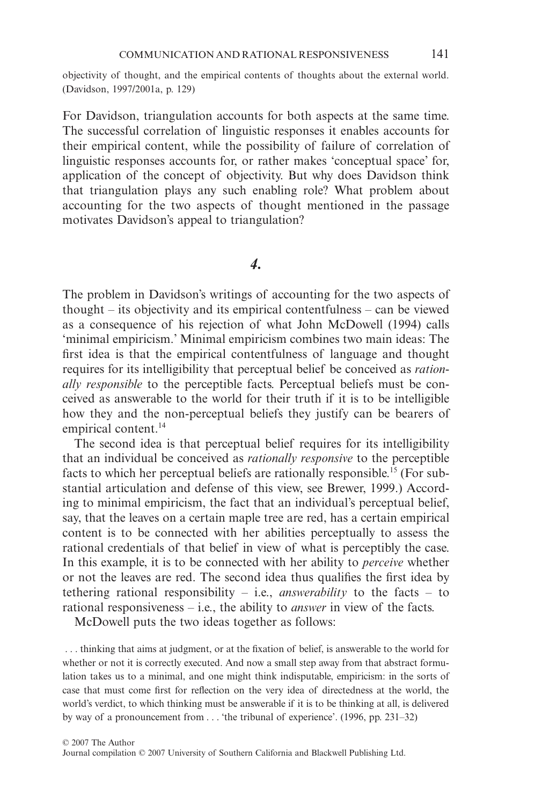objectivity of thought, and the empirical contents of thoughts about the external world. (Davidson, 1997/2001a, p. 129)

For Davidson, triangulation accounts for both aspects at the same time. The successful correlation of linguistic responses it enables accounts for their empirical content, while the possibility of failure of correlation of linguistic responses accounts for, or rather makes 'conceptual space' for, application of the concept of objectivity. But why does Davidson think that triangulation plays any such enabling role? What problem about accounting for the two aspects of thought mentioned in the passage motivates Davidson's appeal to triangulation?

*4.*

The problem in Davidson's writings of accounting for the two aspects of thought – its objectivity and its empirical contentfulness – can be viewed as a consequence of his rejection of what John McDowell (1994) calls 'minimal empiricism.' Minimal empiricism combines two main ideas: The first idea is that the empirical contentfulness of language and thought requires for its intelligibility that perceptual belief be conceived as *rationally responsible* to the perceptible facts. Perceptual beliefs must be conceived as answerable to the world for their truth if it is to be intelligible how they and the non-perceptual beliefs they justify can be bearers of empirical content.<sup>14</sup>

The second idea is that perceptual belief requires for its intelligibility that an individual be conceived as *rationally responsive* to the perceptible facts to which her perceptual beliefs are rationally responsible.<sup>15</sup> (For substantial articulation and defense of this view, see Brewer, 1999.) According to minimal empiricism, the fact that an individual's perceptual belief, say, that the leaves on a certain maple tree are red, has a certain empirical content is to be connected with her abilities perceptually to assess the rational credentials of that belief in view of what is perceptibly the case. In this example, it is to be connected with her ability to *perceive* whether or not the leaves are red. The second idea thus qualifies the first idea by tethering rational responsibility – i.e., *answerability* to the facts – to rational responsiveness – i.e., the ability to *answer* in view of the facts.

McDowell puts the two ideas together as follows:

 . . . thinking that aims at judgment, or at the fixation of belief, is answerable to the world for whether or not it is correctly executed. And now a small step away from that abstract formulation takes us to a minimal, and one might think indisputable, empiricism: in the sorts of case that must come first for reflection on the very idea of directedness at the world, the world's verdict, to which thinking must be answerable if it is to be thinking at all, is delivered by way of a pronouncement from . . . 'the tribunal of experience'. (1996, pp. 231–32)

<sup>© 2007</sup> The Author

Journal compilation © 2007 University of Southern California and Blackwell Publishing Ltd.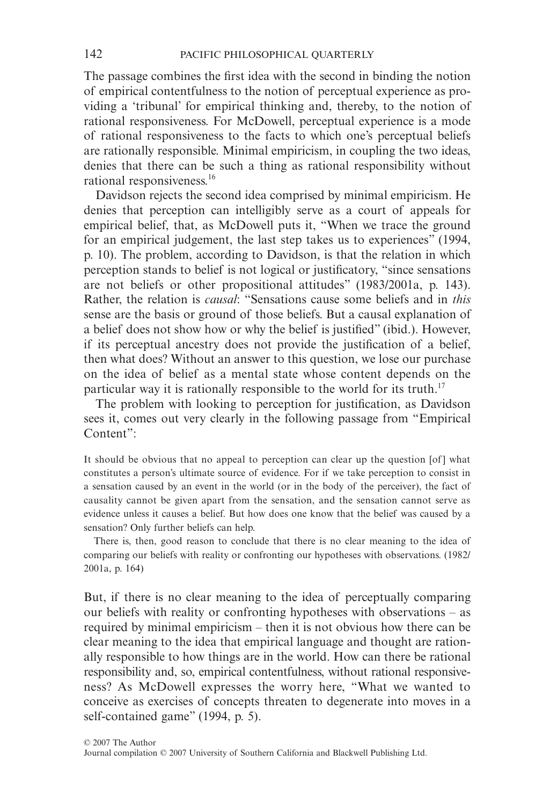The passage combines the first idea with the second in binding the notion of empirical contentfulness to the notion of perceptual experience as providing a 'tribunal' for empirical thinking and, thereby, to the notion of rational responsiveness. For McDowell, perceptual experience is a mode of rational responsiveness to the facts to which one's perceptual beliefs are rationally responsible. Minimal empiricism, in coupling the two ideas, denies that there can be such a thing as rational responsibility without rational responsiveness.<sup>16</sup>

Davidson rejects the second idea comprised by minimal empiricism. He denies that perception can intelligibly serve as a court of appeals for empirical belief, that, as McDowell puts it, "When we trace the ground for an empirical judgement, the last step takes us to experiences" (1994, p. 10). The problem, according to Davidson, is that the relation in which perception stands to belief is not logical or justificatory, "since sensations are not beliefs or other propositional attitudes" (1983/2001a, p. 143). Rather, the relation is *causal*: "Sensations cause some beliefs and in *this* sense are the basis or ground of those beliefs. But a causal explanation of a belief does not show how or why the belief is justified" (ibid.). However, if its perceptual ancestry does not provide the justification of a belief, then what does? Without an answer to this question, we lose our purchase on the idea of belief as a mental state whose content depends on the particular way it is rationally responsible to the world for its truth.<sup>17</sup>

The problem with looking to perception for justification, as Davidson sees it, comes out very clearly in the following passage from "Empirical Content":

It should be obvious that no appeal to perception can clear up the question [of ] what constitutes a person's ultimate source of evidence. For if we take perception to consist in a sensation caused by an event in the world (or in the body of the perceiver), the fact of causality cannot be given apart from the sensation, and the sensation cannot serve as evidence unless it causes a belief. But how does one know that the belief was caused by a sensation? Only further beliefs can help.

There is, then, good reason to conclude that there is no clear meaning to the idea of comparing our beliefs with reality or confronting our hypotheses with observations. (1982/ 2001a, p. 164)

But, if there is no clear meaning to the idea of perceptually comparing our beliefs with reality or confronting hypotheses with observations – as required by minimal empiricism – then it is not obvious how there can be clear meaning to the idea that empirical language and thought are rationally responsible to how things are in the world. How can there be rational responsibility and, so, empirical contentfulness, without rational responsiveness? As McDowell expresses the worry here, "What we wanted to conceive as exercises of concepts threaten to degenerate into moves in a self-contained game" (1994, p. 5).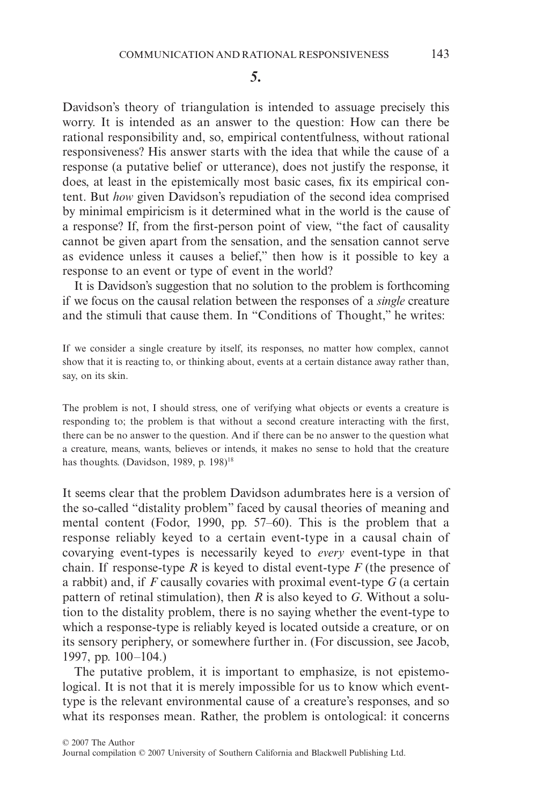#### *5.*

Davidson's theory of triangulation is intended to assuage precisely this worry. It is intended as an answer to the question: How can there be rational responsibility and, so, empirical contentfulness, without rational responsiveness? His answer starts with the idea that while the cause of a response (a putative belief or utterance), does not justify the response, it does, at least in the epistemically most basic cases, fix its empirical content. But *how* given Davidson's repudiation of the second idea comprised by minimal empiricism is it determined what in the world is the cause of a response? If, from the first-person point of view, "the fact of causality cannot be given apart from the sensation, and the sensation cannot serve as evidence unless it causes a belief," then how is it possible to key a response to an event or type of event in the world?

It is Davidson's suggestion that no solution to the problem is forthcoming if we focus on the causal relation between the responses of a *single* creature and the stimuli that cause them. In "Conditions of Thought," he writes:

If we consider a single creature by itself, its responses, no matter how complex, cannot show that it is reacting to, or thinking about, events at a certain distance away rather than, say, on its skin.

The problem is not, I should stress, one of verifying what objects or events a creature is responding to; the problem is that without a second creature interacting with the first, there can be no answer to the question. And if there can be no answer to the question what a creature, means, wants, believes or intends, it makes no sense to hold that the creature has thoughts. (Davidson, 1989, p. 198)<sup>18</sup>

It seems clear that the problem Davidson adumbrates here is a version of the so-called "distality problem" faced by causal theories of meaning and mental content (Fodor, 1990, pp. 57–60). This is the problem that a response reliably keyed to a certain event-type in a causal chain of covarying event-types is necessarily keyed to *every* event-type in that chain. If response-type *R* is keyed to distal event-type *F* (the presence of a rabbit) and, if *F* causally covaries with proximal event-type *G* (a certain pattern of retinal stimulation), then *R* is also keyed to *G*. Without a solution to the distality problem, there is no saying whether the event-type to which a response-type is reliably keyed is located outside a creature, or on its sensory periphery, or somewhere further in. (For discussion, see Jacob, 1997, pp. 100–104.)

The putative problem, it is important to emphasize, is not epistemological. It is not that it is merely impossible for us to know which eventtype is the relevant environmental cause of a creature's responses, and so what its responses mean. Rather, the problem is ontological: it concerns

Journal compilation © 2007 University of Southern California and Blackwell Publishing Ltd.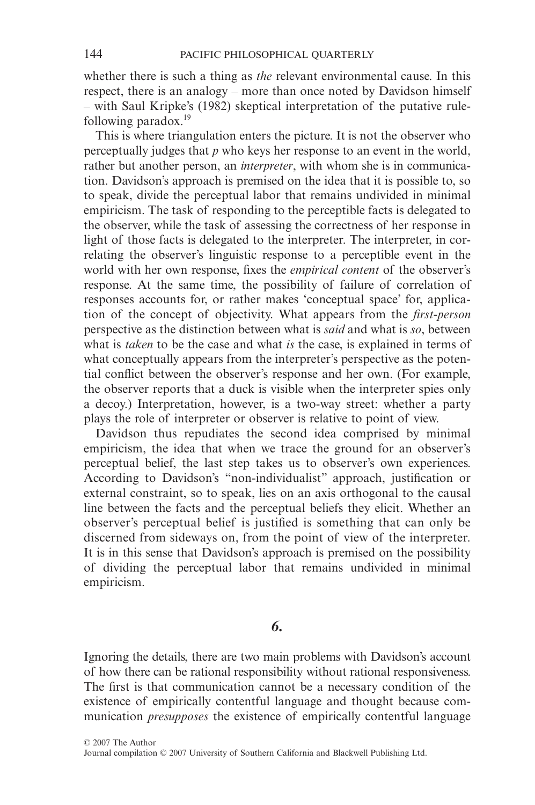whether there is such a thing as *the* relevant environmental cause. In this respect, there is an analogy – more than once noted by Davidson himself – with Saul Kripke's (1982) skeptical interpretation of the putative rulefollowing paradox. $19$ 

This is where triangulation enters the picture. It is not the observer who perceptually judges that *p* who keys her response to an event in the world, rather but another person, an *interpreter*, with whom she is in communication. Davidson's approach is premised on the idea that it is possible to, so to speak, divide the perceptual labor that remains undivided in minimal empiricism. The task of responding to the perceptible facts is delegated to the observer, while the task of assessing the correctness of her response in light of those facts is delegated to the interpreter. The interpreter, in correlating the observer's linguistic response to a perceptible event in the world with her own response, fixes the *empirical content* of the observer's response. At the same time, the possibility of failure of correlation of responses accounts for, or rather makes 'conceptual space' for, application of the concept of objectivity. What appears from the *first-person* perspective as the distinction between what is *said* and what is *so*, between what is *taken* to be the case and what *is* the case, is explained in terms of what conceptually appears from the interpreter's perspective as the potential conflict between the observer's response and her own. (For example, the observer reports that a duck is visible when the interpreter spies only a decoy.) Interpretation, however, is a two-way street: whether a party plays the role of interpreter or observer is relative to point of view.

Davidson thus repudiates the second idea comprised by minimal empiricism, the idea that when we trace the ground for an observer's perceptual belief, the last step takes us to observer's own experiences. According to Davidson's "non-individualist" approach, justification or external constraint, so to speak, lies on an axis orthogonal to the causal line between the facts and the perceptual beliefs they elicit. Whether an observer's perceptual belief is justified is something that can only be discerned from sideways on, from the point of view of the interpreter. It is in this sense that Davidson's approach is premised on the possibility of dividing the perceptual labor that remains undivided in minimal empiricism.

#### *6.*

Ignoring the details, there are two main problems with Davidson's account of how there can be rational responsibility without rational responsiveness. The first is that communication cannot be a necessary condition of the existence of empirically contentful language and thought because communication *presupposes* the existence of empirically contentful language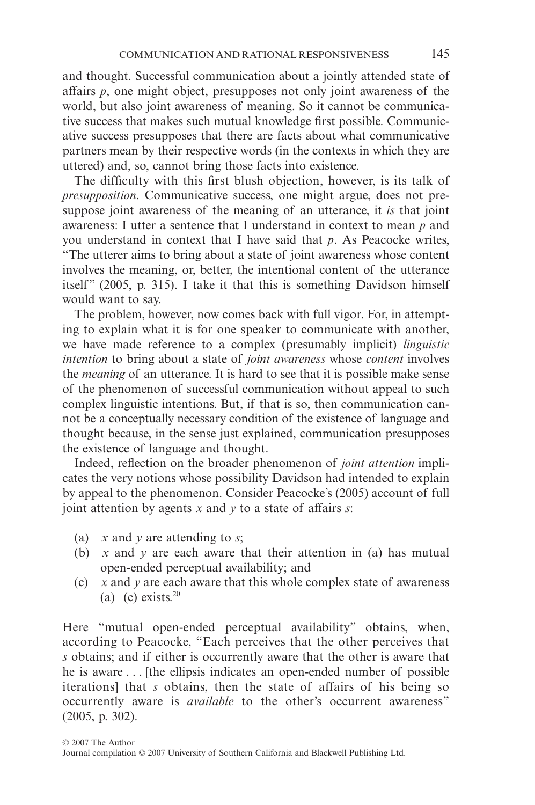and thought. Successful communication about a jointly attended state of affairs *p*, one might object, presupposes not only joint awareness of the world, but also joint awareness of meaning. So it cannot be communicative success that makes such mutual knowledge first possible. Communicative success presupposes that there are facts about what communicative partners mean by their respective words (in the contexts in which they are uttered) and, so, cannot bring those facts into existence.

The difficulty with this first blush objection, however, is its talk of *presupposition*. Communicative success, one might argue, does not presuppose joint awareness of the meaning of an utterance, it *is* that joint awareness: I utter a sentence that I understand in context to mean *p* and you understand in context that I have said that *p*. As Peacocke writes, "The utterer aims to bring about a state of joint awareness whose content involves the meaning, or, better, the intentional content of the utterance itself" (2005, p. 315). I take it that this is something Davidson himself would want to say.

The problem, however, now comes back with full vigor. For, in attempting to explain what it is for one speaker to communicate with another, we have made reference to a complex (presumably implicit) *linguistic intention* to bring about a state of *joint awareness* whose *content* involves the *meaning* of an utterance. It is hard to see that it is possible make sense of the phenomenon of successful communication without appeal to such complex linguistic intentions. But, if that is so, then communication cannot be a conceptually necessary condition of the existence of language and thought because, in the sense just explained, communication presupposes the existence of language and thought.

Indeed, reflection on the broader phenomenon of *joint attention* implicates the very notions whose possibility Davidson had intended to explain by appeal to the phenomenon. Consider Peacocke's (2005) account of full joint attention by agents *x* and *y* to a state of affairs *s*:

- (a) *x* and *y* are attending to *s*;
- (b) *x* and *y* are each aware that their attention in (a) has mutual open-ended perceptual availability; and
- (c) *x* and *y* are each aware that this whole complex state of awareness  $(a)$ –(c) exists.<sup>20</sup>

Here "mutual open-ended perceptual availability" obtains, when, according to Peacocke, "Each perceives that the other perceives that *s* obtains; and if either is occurrently aware that the other is aware that he is aware . . . [the ellipsis indicates an open-ended number of possible iterations] that *s* obtains, then the state of affairs of his being so occurrently aware is *available* to the other's occurrent awareness" (2005, p. 302).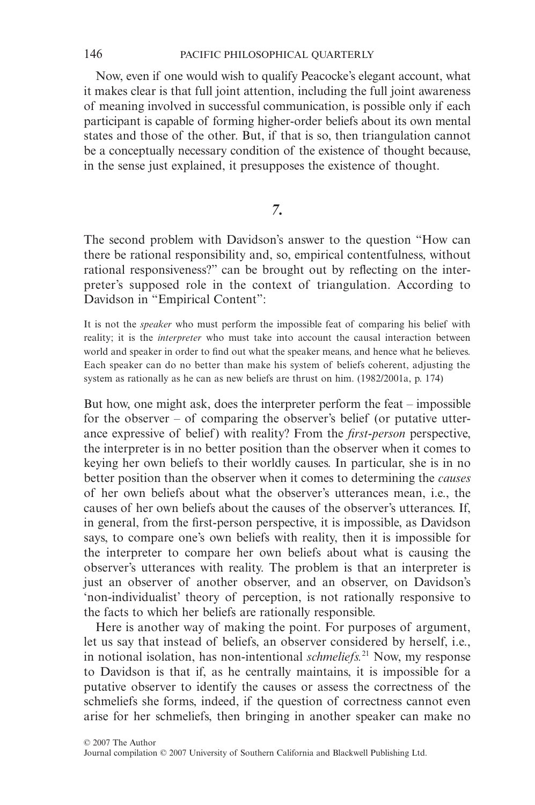Now, even if one would wish to qualify Peacocke's elegant account, what it makes clear is that full joint attention, including the full joint awareness of meaning involved in successful communication, is possible only if each participant is capable of forming higher-order beliefs about its own mental states and those of the other. But, if that is so, then triangulation cannot be a conceptually necessary condition of the existence of thought because, in the sense just explained, it presupposes the existence of thought.

## *7.*

The second problem with Davidson's answer to the question "How can there be rational responsibility and, so, empirical contentfulness, without rational responsiveness?" can be brought out by reflecting on the interpreter's supposed role in the context of triangulation. According to Davidson in "Empirical Content":

It is not the *speaker* who must perform the impossible feat of comparing his belief with reality; it is the *interpreter* who must take into account the causal interaction between world and speaker in order to find out what the speaker means, and hence what he believes. Each speaker can do no better than make his system of beliefs coherent, adjusting the system as rationally as he can as new beliefs are thrust on him. (1982/2001a, p. 174)

But how, one might ask, does the interpreter perform the feat – impossible for the observer – of comparing the observer's belief (or putative utterance expressive of belief) with reality? From the *first-person* perspective, the interpreter is in no better position than the observer when it comes to keying her own beliefs to their worldly causes. In particular, she is in no better position than the observer when it comes to determining the *causes* of her own beliefs about what the observer's utterances mean, i.e., the causes of her own beliefs about the causes of the observer's utterances. If, in general, from the first-person perspective, it is impossible, as Davidson says, to compare one's own beliefs with reality, then it is impossible for the interpreter to compare her own beliefs about what is causing the observer's utterances with reality. The problem is that an interpreter is just an observer of another observer, and an observer, on Davidson's 'non-individualist' theory of perception, is not rationally responsive to the facts to which her beliefs are rationally responsible.

Here is another way of making the point. For purposes of argument, let us say that instead of beliefs, an observer considered by herself, i.e., in notional isolation, has non-intentional *schmeliefs.*<sup>21</sup> Now, my response to Davidson is that if, as he centrally maintains, it is impossible for a putative observer to identify the causes or assess the correctness of the schmeliefs she forms, indeed, if the question of correctness cannot even arise for her schmeliefs, then bringing in another speaker can make no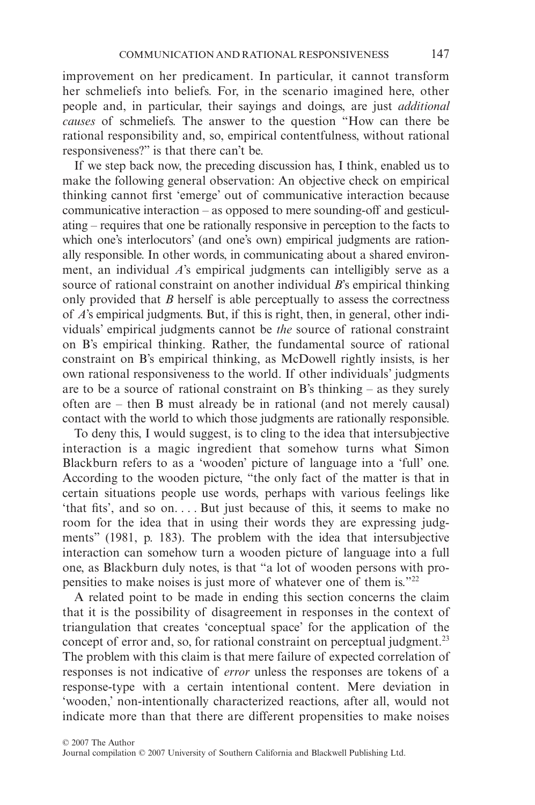improvement on her predicament. In particular, it cannot transform her schmeliefs into beliefs. For, in the scenario imagined here, other people and, in particular, their sayings and doings, are just *additional causes* of schmeliefs. The answer to the question "How can there be rational responsibility and, so, empirical contentfulness, without rational responsiveness?" is that there can't be.

If we step back now, the preceding discussion has, I think, enabled us to make the following general observation: An objective check on empirical thinking cannot first 'emerge' out of communicative interaction because communicative interaction – as opposed to mere sounding-off and gesticulating – requires that one be rationally responsive in perception to the facts to which one's interlocutors' (and one's own) empirical judgments are rationally responsible. In other words, in communicating about a shared environment, an individual *A*'s empirical judgments can intelligibly serve as a source of rational constraint on another individual *B*'s empirical thinking only provided that *B* herself is able perceptually to assess the correctness of *A*'s empirical judgments. But, if this is right, then, in general, other individuals' empirical judgments cannot be *the* source of rational constraint on B's empirical thinking. Rather, the fundamental source of rational constraint on B's empirical thinking, as McDowell rightly insists, is her own rational responsiveness to the world. If other individuals' judgments are to be a source of rational constraint on B's thinking – as they surely often are – then B must already be in rational (and not merely causal) contact with the world to which those judgments are rationally responsible.

To deny this, I would suggest, is to cling to the idea that intersubjective interaction is a magic ingredient that somehow turns what Simon Blackburn refers to as a 'wooden' picture of language into a 'full' one. According to the wooden picture, "the only fact of the matter is that in certain situations people use words, perhaps with various feelings like 'that fits', and so on. . . . But just because of this, it seems to make no room for the idea that in using their words they are expressing judgments" (1981, p. 183). The problem with the idea that intersubjective interaction can somehow turn a wooden picture of language into a full one, as Blackburn duly notes, is that "a lot of wooden persons with propensities to make noises is just more of whatever one of them is."22

A related point to be made in ending this section concerns the claim that it is the possibility of disagreement in responses in the context of triangulation that creates 'conceptual space' for the application of the concept of error and, so, for rational constraint on perceptual judgment.<sup>23</sup> The problem with this claim is that mere failure of expected correlation of responses is not indicative of *error* unless the responses are tokens of a response-type with a certain intentional content. Mere deviation in 'wooden,' non-intentionally characterized reactions, after all, would not indicate more than that there are different propensities to make noises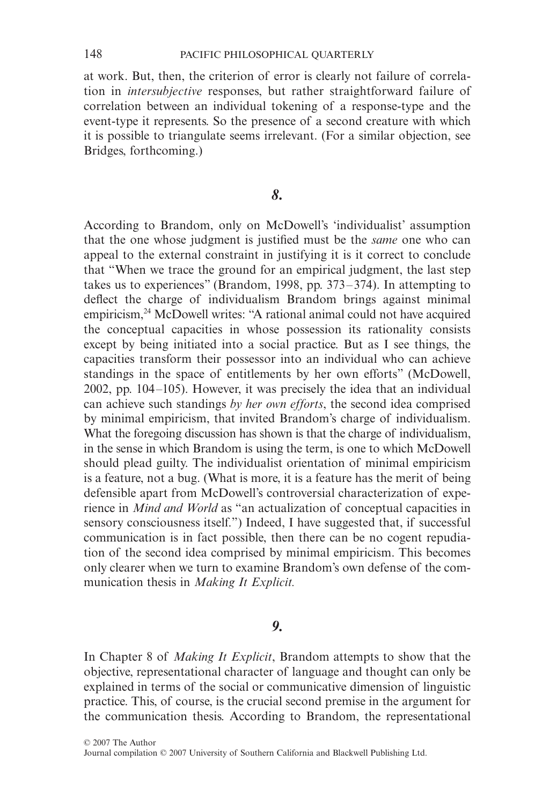at work. But, then, the criterion of error is clearly not failure of correlation in *intersubjective* responses, but rather straightforward failure of correlation between an individual tokening of a response-type and the event-type it represents. So the presence of a second creature with which it is possible to triangulate seems irrelevant. (For a similar objection, see Bridges, forthcoming.)

#### *8.*

According to Brandom, only on McDowell's 'individualist' assumption that the one whose judgment is justified must be the *same* one who can appeal to the external constraint in justifying it is it correct to conclude that "When we trace the ground for an empirical judgment, the last step takes us to experiences" (Brandom, 1998, pp. 373–374). In attempting to deflect the charge of individualism Brandom brings against minimal empiricism,<sup>24</sup> McDowell writes: "A rational animal could not have acquired the conceptual capacities in whose possession its rationality consists except by being initiated into a social practice. But as I see things, the capacities transform their possessor into an individual who can achieve standings in the space of entitlements by her own efforts" (McDowell, 2002, pp. 104–105). However, it was precisely the idea that an individual can achieve such standings *by her own efforts*, the second idea comprised by minimal empiricism, that invited Brandom's charge of individualism. What the foregoing discussion has shown is that the charge of individualism, in the sense in which Brandom is using the term, is one to which McDowell should plead guilty. The individualist orientation of minimal empiricism is a feature, not a bug. (What is more, it is a feature has the merit of being defensible apart from McDowell's controversial characterization of experience in *Mind and World* as "an actualization of conceptual capacities in sensory consciousness itself.") Indeed, I have suggested that, if successful communication is in fact possible, then there can be no cogent repudiation of the second idea comprised by minimal empiricism. This becomes only clearer when we turn to examine Brandom's own defense of the communication thesis in *Making It Explicit.*

#### *9.*

In Chapter 8 of *Making It Explicit*, Brandom attempts to show that the objective, representational character of language and thought can only be explained in terms of the social or communicative dimension of linguistic practice. This, of course, is the crucial second premise in the argument for the communication thesis. According to Brandom, the representational

Journal compilation © 2007 University of Southern California and Blackwell Publishing Ltd.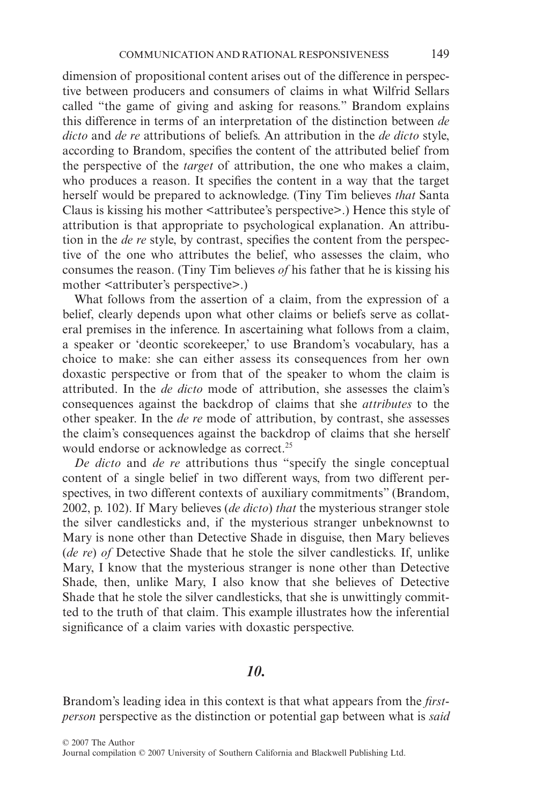dimension of propositional content arises out of the difference in perspective between producers and consumers of claims in what Wilfrid Sellars called "the game of giving and asking for reasons." Brandom explains this difference in terms of an interpretation of the distinction between *de dicto* and *de re* attributions of beliefs. An attribution in the *de dicto* style, according to Brandom, specifies the content of the attributed belief from the perspective of the *target* of attribution, the one who makes a claim, who produces a reason. It specifies the content in a way that the target herself would be prepared to acknowledge. (Tiny Tim believes *that* Santa Claus is kissing his mother <attributee's perspective>.) Hence this style of attribution is that appropriate to psychological explanation. An attribution in the *de re* style, by contrast, specifies the content from the perspective of the one who attributes the belief, who assesses the claim, who consumes the reason. (Tiny Tim believes *of* his father that he is kissing his mother <attributer's perspective>.)

What follows from the assertion of a claim, from the expression of a belief, clearly depends upon what other claims or beliefs serve as collateral premises in the inference. In ascertaining what follows from a claim, a speaker or 'deontic scorekeeper,' to use Brandom's vocabulary, has a choice to make: she can either assess its consequences from her own doxastic perspective or from that of the speaker to whom the claim is attributed. In the *de dicto* mode of attribution, she assesses the claim's consequences against the backdrop of claims that she *attributes* to the other speaker. In the *de re* mode of attribution, by contrast, she assesses the claim's consequences against the backdrop of claims that she herself would endorse or acknowledge as correct.<sup>25</sup>

*De dicto* and *de re* attributions thus "specify the single conceptual content of a single belief in two different ways, from two different perspectives, in two different contexts of auxiliary commitments" (Brandom, 2002, p. 102). If Mary believes (*de dicto*) *that* the mysterious stranger stole the silver candlesticks and, if the mysterious stranger unbeknownst to Mary is none other than Detective Shade in disguise, then Mary believes (*de re*) *of* Detective Shade that he stole the silver candlesticks. If, unlike Mary, I know that the mysterious stranger is none other than Detective Shade, then, unlike Mary, I also know that she believes of Detective Shade that he stole the silver candlesticks, that she is unwittingly committed to the truth of that claim. This example illustrates how the inferential significance of a claim varies with doxastic perspective.

### *10.*

Brandom's leading idea in this context is that what appears from the *firstperson* perspective as the distinction or potential gap between what is *said*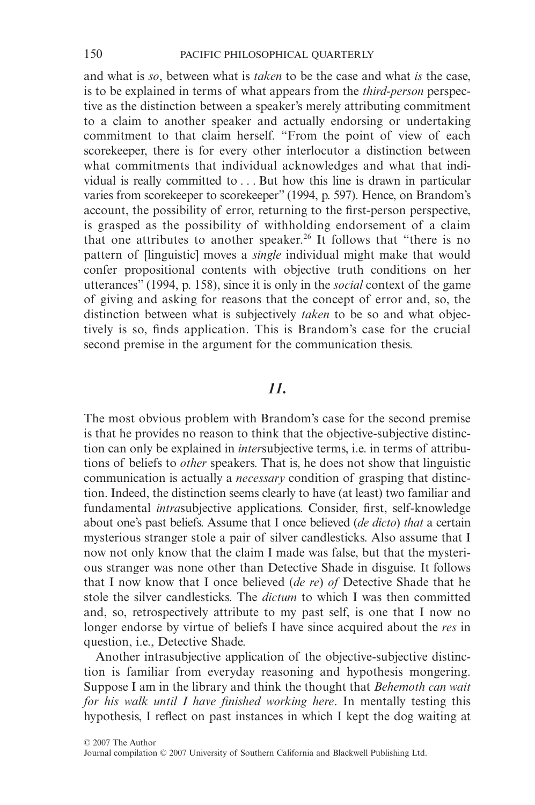and what is *so*, between what is *taken* to be the case and what *is* the case, is to be explained in terms of what appears from the *third-person* perspective as the distinction between a speaker's merely attributing commitment to a claim to another speaker and actually endorsing or undertaking commitment to that claim herself. "From the point of view of each scorekeeper, there is for every other interlocutor a distinction between what commitments that individual acknowledges and what that individual is really committed to . . . But how this line is drawn in particular varies from scorekeeper to scorekeeper" (1994, p. 597). Hence, on Brandom's account, the possibility of error, returning to the first-person perspective, is grasped as the possibility of withholding endorsement of a claim that one attributes to another speaker.<sup>26</sup> It follows that "there is no pattern of [linguistic] moves a *single* individual might make that would confer propositional contents with objective truth conditions on her utterances" (1994, p. 158), since it is only in the *social* context of the game of giving and asking for reasons that the concept of error and, so, the distinction between what is subjectively *taken* to be so and what objectively is so, finds application. This is Brandom's case for the crucial second premise in the argument for the communication thesis.

#### *11.*

The most obvious problem with Brandom's case for the second premise is that he provides no reason to think that the objective-subjective distinction can only be explained in *inter*subjective terms, i.e. in terms of attributions of beliefs to *other* speakers. That is, he does not show that linguistic communication is actually a *necessary* condition of grasping that distinction. Indeed, the distinction seems clearly to have (at least) two familiar and fundamental *intra*subjective applications. Consider, first, self-knowledge about one's past beliefs. Assume that I once believed (*de dicto*) *that* a certain mysterious stranger stole a pair of silver candlesticks. Also assume that I now not only know that the claim I made was false, but that the mysterious stranger was none other than Detective Shade in disguise. It follows that I now know that I once believed (*de re*) *of* Detective Shade that he stole the silver candlesticks. The *dictum* to which I was then committed and, so, retrospectively attribute to my past self, is one that I now no longer endorse by virtue of beliefs I have since acquired about the *res* in question, i.e., Detective Shade.

Another intrasubjective application of the objective-subjective distinction is familiar from everyday reasoning and hypothesis mongering. Suppose I am in the library and think the thought that *Behemoth can wait for his walk until I have finished working here*. In mentally testing this hypothesis, I reflect on past instances in which I kept the dog waiting at

<sup>© 2007</sup> The Author

Journal compilation © 2007 University of Southern California and Blackwell Publishing Ltd.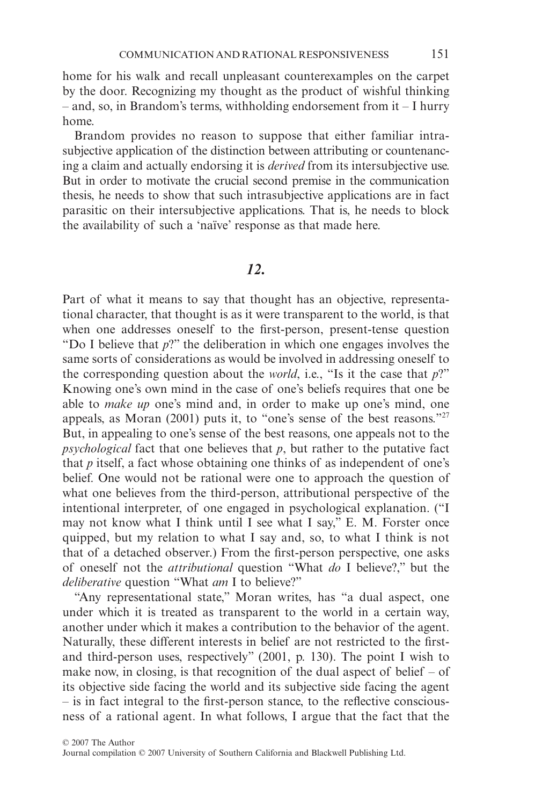home for his walk and recall unpleasant counterexamples on the carpet by the door. Recognizing my thought as the product of wishful thinking – and, so, in Brandom's terms, withholding endorsement from it – I hurry home.

Brandom provides no reason to suppose that either familiar intrasubjective application of the distinction between attributing or countenancing a claim and actually endorsing it is *derived* from its intersubjective use. But in order to motivate the crucial second premise in the communication thesis, he needs to show that such intrasubjective applications are in fact parasitic on their intersubjective applications. That is, he needs to block the availability of such a 'naïve' response as that made here.

#### *12.*

Part of what it means to say that thought has an objective, representational character, that thought is as it were transparent to the world, is that when one addresses oneself to the first-person, present-tense question "Do I believe that *p*?" the deliberation in which one engages involves the same sorts of considerations as would be involved in addressing oneself to the corresponding question about the *world*, i.e., "Is it the case that  $p$ ?" Knowing one's own mind in the case of one's beliefs requires that one be able to *make up* one's mind and, in order to make up one's mind, one appeals, as Moran (2001) puts it, to "one's sense of the best reasons."27 But, in appealing to one's sense of the best reasons, one appeals not to the *psychological* fact that one believes that *p*, but rather to the putative fact that *p* itself, a fact whose obtaining one thinks of as independent of one's belief. One would not be rational were one to approach the question of what one believes from the third-person, attributional perspective of the intentional interpreter, of one engaged in psychological explanation. ("I may not know what I think until I see what I say," E. M. Forster once quipped, but my relation to what I say and, so, to what I think is not that of a detached observer.) From the first-person perspective, one asks of oneself not the *attributional* question "What *do* I believe?," but the *deliberative* question "What *am* I to believe?"

"Any representational state," Moran writes, has "a dual aspect, one under which it is treated as transparent to the world in a certain way, another under which it makes a contribution to the behavior of the agent. Naturally, these different interests in belief are not restricted to the firstand third-person uses, respectively" (2001, p. 130). The point I wish to make now, in closing, is that recognition of the dual aspect of belief  $-$  of its objective side facing the world and its subjective side facing the agent – is in fact integral to the first-person stance, to the reflective consciousness of a rational agent. In what follows, I argue that the fact that the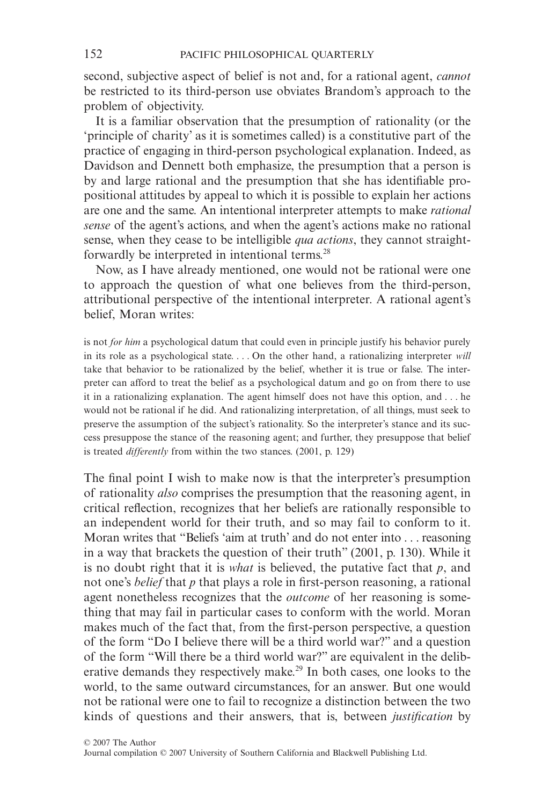second, subjective aspect of belief is not and, for a rational agent, *cannot* be restricted to its third-person use obviates Brandom's approach to the problem of objectivity.

It is a familiar observation that the presumption of rationality (or the 'principle of charity' as it is sometimes called) is a constitutive part of the practice of engaging in third-person psychological explanation. Indeed, as Davidson and Dennett both emphasize, the presumption that a person is by and large rational and the presumption that she has identifiable propositional attitudes by appeal to which it is possible to explain her actions are one and the same. An intentional interpreter attempts to make *rational sense* of the agent's actions, and when the agent's actions make no rational sense, when they cease to be intelligible *qua actions*, they cannot straightforwardly be interpreted in intentional terms.<sup>28</sup>

Now, as I have already mentioned, one would not be rational were one to approach the question of what one believes from the third-person, attributional perspective of the intentional interpreter. A rational agent's belief, Moran writes:

is not *for him* a psychological datum that could even in principle justify his behavior purely in its role as a psychological state. . . . On the other hand, a rationalizing interpreter *will* take that behavior to be rationalized by the belief, whether it is true or false. The interpreter can afford to treat the belief as a psychological datum and go on from there to use it in a rationalizing explanation. The agent himself does not have this option, and . . . he would not be rational if he did. And rationalizing interpretation, of all things, must seek to preserve the assumption of the subject's rationality. So the interpreter's stance and its success presuppose the stance of the reasoning agent; and further, they presuppose that belief is treated *differently* from within the two stances. (2001, p. 129)

The final point I wish to make now is that the interpreter's presumption of rationality *also* comprises the presumption that the reasoning agent, in critical reflection, recognizes that her beliefs are rationally responsible to an independent world for their truth, and so may fail to conform to it. Moran writes that "Beliefs 'aim at truth' and do not enter into . . . reasoning in a way that brackets the question of their truth" (2001, p. 130). While it is no doubt right that it is *what* is believed, the putative fact that *p*, and not one's *belief* that *p* that plays a role in first-person reasoning, a rational agent nonetheless recognizes that the *outcome* of her reasoning is something that may fail in particular cases to conform with the world. Moran makes much of the fact that, from the first-person perspective, a question of the form "Do I believe there will be a third world war?" and a question of the form "Will there be a third world war?" are equivalent in the deliberative demands they respectively make.<sup>29</sup> In both cases, one looks to the world, to the same outward circumstances, for an answer. But one would not be rational were one to fail to recognize a distinction between the two kinds of questions and their answers, that is, between *justification* by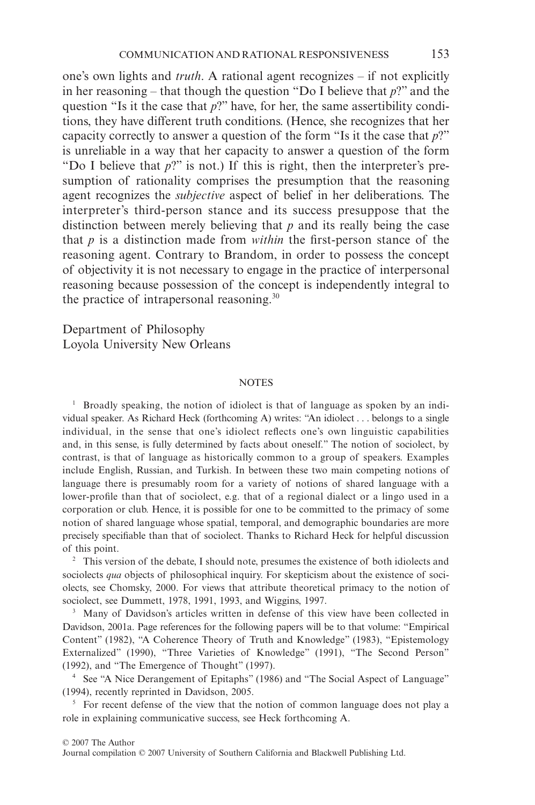one's own lights and *truth*. A rational agent recognizes – if not explicitly in her reasoning – that though the question "Do I believe that *p*?" and the question "Is it the case that *p*?" have, for her, the same assertibility conditions, they have different truth conditions. (Hence, she recognizes that her capacity correctly to answer a question of the form "Is it the case that *p*?" is unreliable in a way that her capacity to answer a question of the form "Do I believe that *p*?" is not.) If this is right, then the interpreter's presumption of rationality comprises the presumption that the reasoning agent recognizes the *subjective* aspect of belief in her deliberations. The interpreter's third-person stance and its success presuppose that the distinction between merely believing that *p* and its really being the case that *p* is a distinction made from *within* the first-person stance of the reasoning agent. Contrary to Brandom, in order to possess the concept of objectivity it is not necessary to engage in the practice of interpersonal reasoning because possession of the concept is independently integral to the practice of intrapersonal reasoning.<sup>30</sup>

Department of Philosophy Loyola University New Orleans

#### **NOTES**

Broadly speaking, the notion of idiolect is that of language as spoken by an individual speaker. As Richard Heck (forthcoming A) writes: "An idiolect . . . belongs to a single individual, in the sense that one's idiolect reflects one's own linguistic capabilities and, in this sense, is fully determined by facts about oneself." The notion of sociolect, by contrast, is that of language as historically common to a group of speakers. Examples include English, Russian, and Turkish. In between these two main competing notions of language there is presumably room for a variety of notions of shared language with a lower-profile than that of sociolect, e.g. that of a regional dialect or a lingo used in a corporation or club. Hence, it is possible for one to be committed to the primacy of some notion of shared language whose spatial, temporal, and demographic boundaries are more precisely specifiable than that of sociolect. Thanks to Richard Heck for helpful discussion of this point.

<sup>2</sup> This version of the debate, I should note, presumes the existence of both idiolects and sociolects *qua* objects of philosophical inquiry. For skepticism about the existence of sociolects, see Chomsky, 2000. For views that attribute theoretical primacy to the notion of sociolect, see Dummett, 1978, 1991, 1993, and Wiggins, 1997.

<sup>3</sup> Many of Davidson's articles written in defense of this view have been collected in Davidson, 2001a. Page references for the following papers will be to that volume: "Empirical Content" (1982), "A Coherence Theory of Truth and Knowledge" (1983), "Epistemology Externalized" (1990), "Three Varieties of Knowledge" (1991), "The Second Person" (1992), and "The Emergence of Thought" (1997).

<sup>4</sup> See "A Nice Derangement of Epitaphs" (1986) and "The Social Aspect of Language" (1994), recently reprinted in Davidson, 2005.

 $5$  For recent defense of the view that the notion of common language does not play a role in explaining communicative success, see Heck forthcoming A.

© 2007 The Author

Journal compilation © 2007 University of Southern California and Blackwell Publishing Ltd.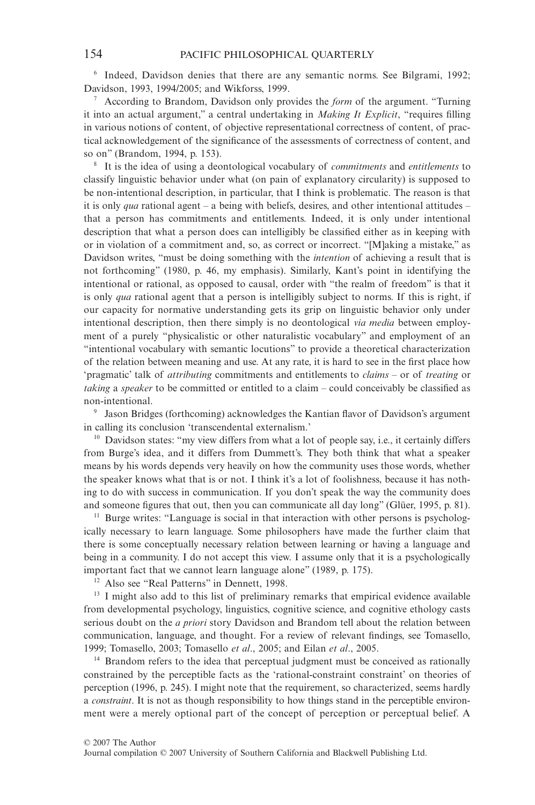<sup>6</sup> Indeed, Davidson denies that there are any semantic norms. See Bilgrami, 1992; Davidson, 1993, 1994/2005; and Wikforss, 1999.

7 According to Brandom, Davidson only provides the *form* of the argument. "Turning it into an actual argument," a central undertaking in *Making It Explicit*, "requires filling in various notions of content, of objective representational correctness of content, of practical acknowledgement of the significance of the assessments of correctness of content, and so on" (Brandom, 1994, p. 153).

8 It is the idea of using a deontological vocabulary of *commitments* and *entitlements* to classify linguistic behavior under what (on pain of explanatory circularity) is supposed to be non*-*intentional description, in particular, that I think is problematic. The reason is that it is only *qua* rational agent – a being with beliefs, desires, and other intentional attitudes – that a person has commitments and entitlements. Indeed, it is only under intentional description that what a person does can intelligibly be classified either as in keeping with or in violation of a commitment and, so, as correct or incorrect. "[M]aking a mistake," as Davidson writes, "must be doing something with the *intention* of achieving a result that is not forthcoming" (1980, p. 46, my emphasis). Similarly, Kant's point in identifying the intentional or rational, as opposed to causal, order with "the realm of freedom" is that it is only *qua* rational agent that a person is intelligibly subject to norms. If this is right, if our capacity for normative understanding gets its grip on linguistic behavior only under intentional description, then there simply is no deontological *via media* between employment of a purely "physicalistic or other naturalistic vocabulary" and employment of an "intentional vocabulary with semantic locutions" to provide a theoretical characterization of the relation between meaning and use. At any rate, it is hard to see in the first place how 'pragmatic' talk of *attributing* commitments and entitlements to *claims* – or of *treating* or *taking* a *speaker* to be committed or entitled to a claim – could conceivably be classified as non-intentional.

9 Jason Bridges (forthcoming) acknowledges the Kantian flavor of Davidson's argument in calling its conclusion 'transcendental externalism.'

<sup>10</sup> Davidson states: "my view differs from what a lot of people say, i.e., it certainly differs from Burge's idea, and it differs from Dummett's. They both think that what a speaker means by his words depends very heavily on how the community uses those words, whether the speaker knows what that is or not. I think it's a lot of foolishness, because it has nothing to do with success in communication. If you don't speak the way the community does and someone figures that out, then you can communicate all day long" (Glüer, 1995, p. 81).

 $11$  Burge writes: "Language is social in that interaction with other persons is psychologically necessary to learn language. Some philosophers have made the further claim that there is some conceptually necessary relation between learning or having a language and being in a community. I do not accept this view. I assume only that it is a psychologically important fact that we cannot learn language alone" (1989, p. 175).

<sup>12</sup> Also see "Real Patterns" in Dennett, 1998.

 $13$  I might also add to this list of preliminary remarks that empirical evidence available from developmental psychology, linguistics, cognitive science, and cognitive ethology casts serious doubt on the *a priori* story Davidson and Brandom tell about the relation between communication, language, and thought. For a review of relevant findings, see Tomasello, 1999; Tomasello, 2003; Tomasello *et al*., 2005; and Eilan *et al*., 2005.

 $14$  Brandom refers to the idea that perceptual judgment must be conceived as rationally constrained by the perceptible facts as the 'rational-constraint constraint' on theories of perception (1996, p. 245). I might note that the requirement, so characterized, seems hardly a *constraint*. It is not as though responsibility to how things stand in the perceptible environment were a merely optional part of the concept of perception or perceptual belief. A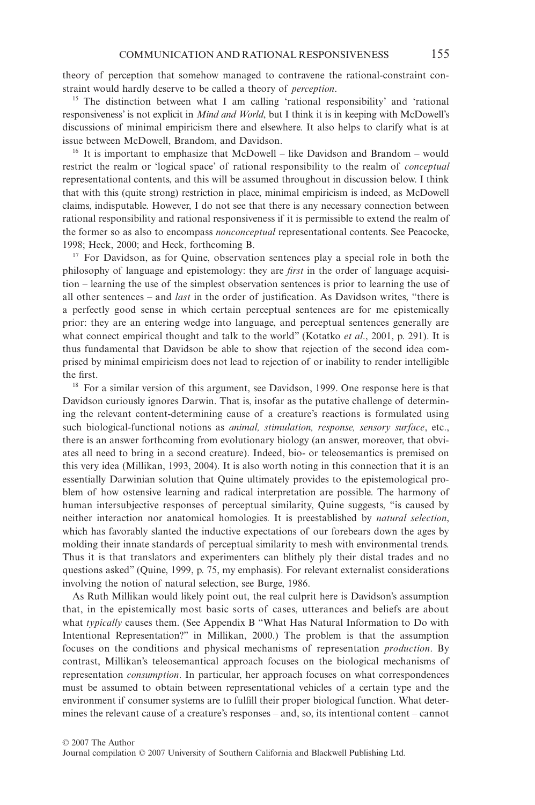theory of perception that somehow managed to contravene the rational-constraint constraint would hardly deserve to be called a theory of *perception*.

<sup>15</sup> The distinction between what I am calling 'rational responsibility' and 'rational responsiveness' is not explicit in *Mind and World*, but I think it is in keeping with McDowell's discussions of minimal empiricism there and elsewhere. It also helps to clarify what is at issue between McDowell, Brandom, and Davidson.

<sup>16</sup> It is important to emphasize that McDowell – like Davidson and Brandom – would restrict the realm or 'logical space' of rational responsibility to the realm of *conceptual* representational contents, and this will be assumed throughout in discussion below. I think that with this (quite strong) restriction in place, minimal empiricism is indeed, as McDowell claims, indisputable. However, I do not see that there is any necessary connection between rational responsibility and rational responsiveness if it is permissible to extend the realm of the former so as also to encompass *nonconceptual* representational contents. See Peacocke, 1998; Heck, 2000; and Heck, forthcoming B.

<sup>17</sup> For Davidson, as for Quine, observation sentences play a special role in both the philosophy of language and epistemology: they are *first* in the order of language acquisition – learning the use of the simplest observation sentences is prior to learning the use of all other sentences – and *last* in the order of justification. As Davidson writes, "there is a perfectly good sense in which certain perceptual sentences are for me epistemically prior: they are an entering wedge into language, and perceptual sentences generally are what connect empirical thought and talk to the world" (Kotatko *et al*., 2001, p. 291). It is thus fundamental that Davidson be able to show that rejection of the second idea comprised by minimal empiricism does not lead to rejection of or inability to render intelligible the first.

<sup>18</sup> For a similar version of this argument, see Davidson, 1999. One response here is that Davidson curiously ignores Darwin. That is, insofar as the putative challenge of determining the relevant content-determining cause of a creature's reactions is formulated using such biological-functional notions as *animal, stimulation, response, sensory surface*, etc., there is an answer forthcoming from evolutionary biology (an answer, moreover, that obviates all need to bring in a second creature). Indeed, bio- or teleosemantics is premised on this very idea (Millikan, 1993, 2004). It is also worth noting in this connection that it is an essentially Darwinian solution that Quine ultimately provides to the epistemological problem of how ostensive learning and radical interpretation are possible. The harmony of human intersubjective responses of perceptual similarity, Quine suggests, "is caused by neither interaction nor anatomical homologies. It is preestablished by *natural selection*, which has favorably slanted the inductive expectations of our forebears down the ages by molding their innate standards of perceptual similarity to mesh with environmental trends. Thus it is that translators and experimenters can blithely ply their distal trades and no questions asked" (Quine, 1999, p. 75, my emphasis). For relevant externalist considerations involving the notion of natural selection, see Burge, 1986.

As Ruth Millikan would likely point out, the real culprit here is Davidson's assumption that, in the epistemically most basic sorts of cases, utterances and beliefs are about what *typically* causes them. (See Appendix B "What Has Natural Information to Do with Intentional Representation?" in Millikan, 2000.) The problem is that the assumption focuses on the conditions and physical mechanisms of representation *production*. By contrast, Millikan's teleosemantical approach focuses on the biological mechanisms of representation *consumption*. In particular, her approach focuses on what correspondences must be assumed to obtain between representational vehicles of a certain type and the environment if consumer systems are to fulfill their proper biological function. What determines the relevant cause of a creature's responses – and, so, its intentional content – cannot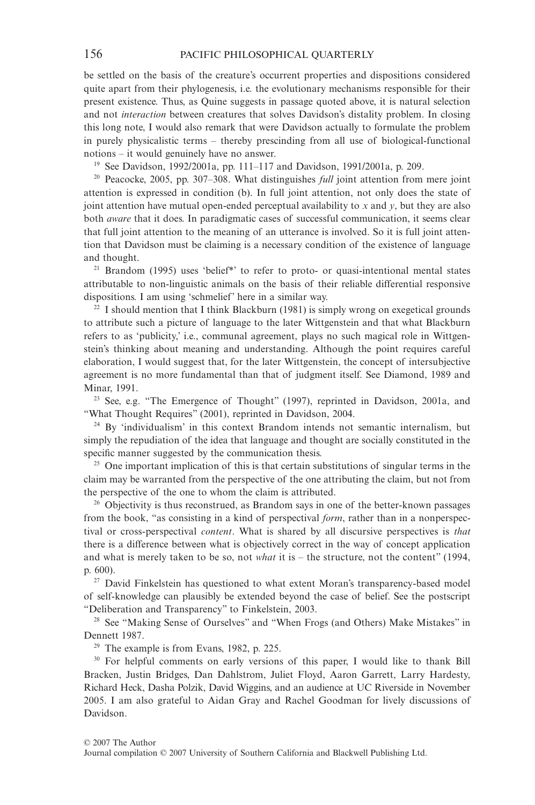be settled on the basis of the creature's occurrent properties and dispositions considered quite apart from their phylogenesis, i.e. the evolutionary mechanisms responsible for their present existence. Thus, as Quine suggests in passage quoted above, it is natural selection and not *interaction* between creatures that solves Davidson's distality problem. In closing this long note, I would also remark that were Davidson actually to formulate the problem in purely physicalistic terms – thereby prescinding from all use of biological-functional notions – it would genuinely have no answer.

<sup>19</sup> See Davidson, 1992/2001a, pp. 111–117 and Davidson, 1991/2001a, p. 209.

<sup>20</sup> Peacocke, 2005, pp. 307–308. What distinguishes *full* joint attention from mere joint attention is expressed in condition (b). In full joint attention, not only does the state of joint attention have mutual open-ended perceptual availability to  $x$  and  $y$ , but they are also both *aware* that it does. In paradigmatic cases of successful communication, it seems clear that full joint attention to the meaning of an utterance is involved. So it is full joint attention that Davidson must be claiming is a necessary condition of the existence of language and thought.

<sup>21</sup> Brandom (1995) uses 'belief<sup>\*</sup>' to refer to proto- or quasi-intentional mental states attributable to non-linguistic animals on the basis of their reliable differential responsive dispositions. I am using 'schmelief' here in a similar way.

 $22$  I should mention that I think Blackburn (1981) is simply wrong on exegetical grounds to attribute such a picture of language to the later Wittgenstein and that what Blackburn refers to as 'publicity,' i.e., communal agreement, plays no such magical role in Wittgenstein's thinking about meaning and understanding. Although the point requires careful elaboration, I would suggest that, for the later Wittgenstein, the concept of intersubjective agreement is no more fundamental than that of judgment itself. See Diamond, 1989 and Minar, 1991.

<sup>23</sup> See, e.g. "The Emergence of Thought" (1997), reprinted in Davidson, 2001a, and "What Thought Requires" (2001), reprinted in Davidson, 2004.

 $24$  By 'individualism' in this context Brandom intends not semantic internalism, but simply the repudiation of the idea that language and thought are socially constituted in the specific manner suggested by the communication thesis.

<sup>25</sup> One important implication of this is that certain substitutions of singular terms in the claim may be warranted from the perspective of the one attributing the claim, but not from the perspective of the one to whom the claim is attributed.

<sup>26</sup> Objectivity is thus reconstrued, as Brandom says in one of the better-known passages from the book, "as consisting in a kind of perspectival *form*, rather than in a nonperspectival or cross-perspectival *content*. What is shared by all discursive perspectives is *that* there is a difference between what is objectively correct in the way of concept application and what is merely taken to be so, not *what* it is – the structure, not the content" (1994, p. 600).

<sup>27</sup> David Finkelstein has questioned to what extent Moran's transparency-based model of self-knowledge can plausibly be extended beyond the case of belief. See the postscript "Deliberation and Transparency" to Finkelstein, 2003.

<sup>28</sup> See "Making Sense of Ourselves" and "When Frogs (and Others) Make Mistakes" in Dennett 1987.

<sup>29</sup> The example is from Evans, 1982, p. 225.

<sup>30</sup> For helpful comments on early versions of this paper, I would like to thank Bill Bracken, Justin Bridges, Dan Dahlstrom, Juliet Floyd, Aaron Garrett, Larry Hardesty, Richard Heck, Dasha Polzik, David Wiggins, and an audience at UC Riverside in November 2005. I am also grateful to Aidan Gray and Rachel Goodman for lively discussions of Davidson.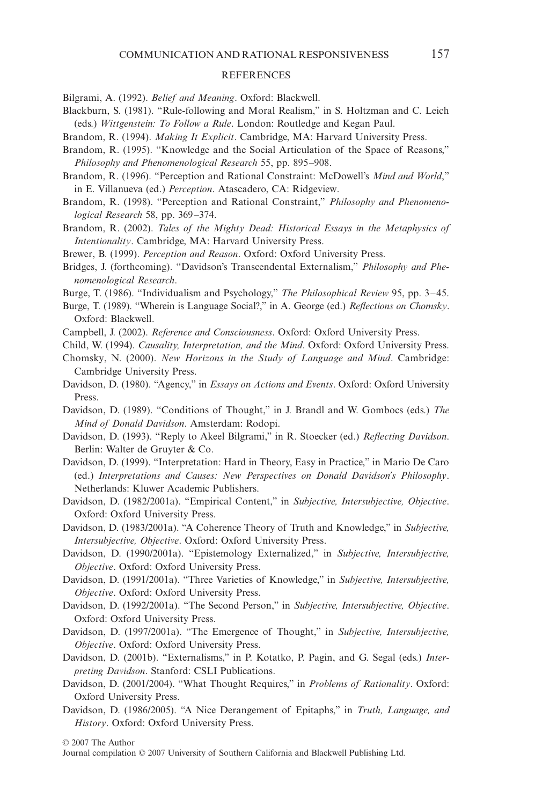#### **REFERENCES**

Bilgrami, A. (1992). *Belief and Meaning*. Oxford: Blackwell.

- Blackburn, S. (1981). "Rule-following and Moral Realism," in S. Holtzman and C. Leich (eds.) *Wittgenstein: To Follow a Rule*. London: Routledge and Kegan Paul.
- Brandom, R. (1994). *Making It Explicit*. Cambridge, MA: Harvard University Press.
- Brandom, R. (1995). "Knowledge and the Social Articulation of the Space of Reasons," *Philosophy and Phenomenological Research* 55, pp. 895–908.
- Brandom, R. (1996). "Perception and Rational Constraint: McDowell's *Mind and World*," in E. Villanueva (ed.) *Perception*. Atascadero, CA: Ridgeview.
- Brandom, R. (1998). "Perception and Rational Constraint," *Philosophy and Phenomenological Research* 58, pp. 369–374.
- Brandom, R. (2002). *Tales of the Mighty Dead: Historical Essays in the Metaphysics of Intentionality*. Cambridge, MA: Harvard University Press.
- Brewer, B. (1999). *Perception and Reason*. Oxford: Oxford University Press.
- Bridges, J. (forthcoming). "Davidson's Transcendental Externalism," *Philosophy and Phenomenological Research*.
- Burge, T. (1986). "Individualism and Psychology," *The Philosophical Review* 95, pp. 3–45.
- Burge, T. (1989). "Wherein is Language Social?," in A. George (ed.) *Reflections on Chomsky*. Oxford: Blackwell.
- Campbell, J. (2002). *Reference and Consciousness*. Oxford: Oxford University Press.
- Child, W. (1994). *Causality, Interpretation, and the Mind*. Oxford: Oxford University Press.
- Chomsky, N. (2000). *New Horizons in the Study of Language and Mind*. Cambridge: Cambridge University Press.
- Davidson, D. (1980). "Agency," in *Essays on Actions and Events*. Oxford: Oxford University Press.
- Davidson, D. (1989). "Conditions of Thought," in J. Brandl and W. Gombocs (eds.) *The Mind of Donald Davidson*. Amsterdam: Rodopi.
- Davidson, D. (1993). "Reply to Akeel Bilgrami," in R. Stoecker (ed.) *Reflecting Davidson*. Berlin: Walter de Gruyter & Co.
- Davidson, D. (1999). "Interpretation: Hard in Theory, Easy in Practice," in Mario De Caro (ed.) *Interpretations and Causes: New Perspectives on Donald Davidson's Philosophy*. Netherlands: Kluwer Academic Publishers.
- Davidson, D. (1982/2001a). "Empirical Content," in *Subjective, Intersubjective, Objective*. Oxford: Oxford University Press.
- Davidson, D. (1983/2001a). "A Coherence Theory of Truth and Knowledge," in *Subjective, Intersubjective, Objective*. Oxford: Oxford University Press.
- Davidson, D. (1990/2001a). "Epistemology Externalized," in *Subjective, Intersubjective, Objective*. Oxford: Oxford University Press.
- Davidson, D. (1991/2001a). "Three Varieties of Knowledge," in *Subjective, Intersubjective, Objective*. Oxford: Oxford University Press.
- Davidson, D. (1992/2001a). "The Second Person," in *Subjective, Intersubjective, Objective*. Oxford: Oxford University Press.
- Davidson, D. (1997/2001a). "The Emergence of Thought," in *Subjective, Intersubjective, Objective*. Oxford: Oxford University Press.
- Davidson, D. (2001b). "Externalisms," in P. Kotatko, P. Pagin, and G. Segal (eds.) *Interpreting Davidson*. Stanford: CSLI Publications.
- Davidson, D. (2001/2004). "What Thought Requires," in *Problems of Rationality*. Oxford: Oxford University Press.
- Davidson, D. (1986/2005). "A Nice Derangement of Epitaphs," in *Truth, Language, and History*. Oxford: Oxford University Press.

© 2007 The Author

Journal compilation © 2007 University of Southern California and Blackwell Publishing Ltd.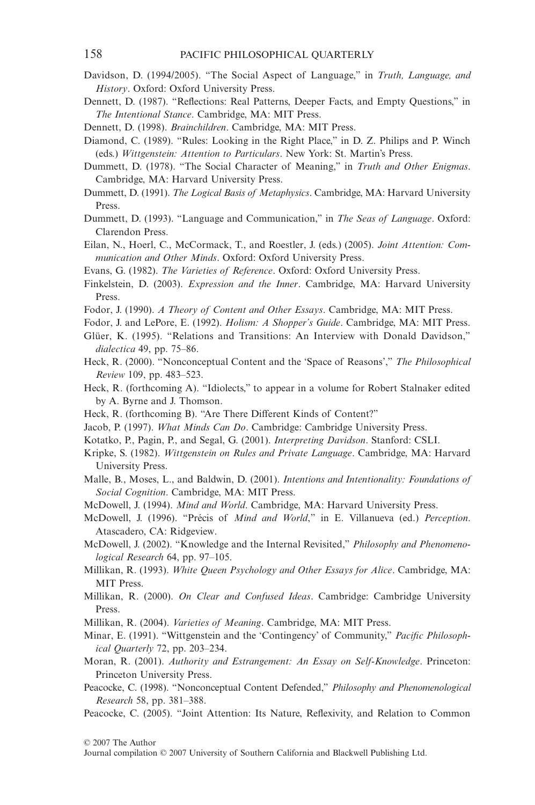- Davidson, D. (1994/2005). "The Social Aspect of Language," in *Truth, Language, and History*. Oxford: Oxford University Press.
- Dennett, D. (1987). "Reflections: Real Patterns, Deeper Facts, and Empty Questions," in *The Intentional Stance*. Cambridge, MA: MIT Press.
- Dennett, D. (1998). *Brainchildren*. Cambridge, MA: MIT Press.
- Diamond, C. (1989). "Rules: Looking in the Right Place," in D. Z. Philips and P. Winch (eds.) *Wittgenstein: Attention to Particulars*. New York: St. Martin's Press.
- Dummett, D. (1978). "The Social Character of Meaning," in *Truth and Other Enigmas*. Cambridge, MA: Harvard University Press.
- Dummett, D. (1991). *The Logical Basis of Metaphysics*. Cambridge, MA: Harvard University Press.
- Dummett, D. (1993). "Language and Communication," in *The Seas of Language*. Oxford: Clarendon Press.
- Eilan, N., Hoerl, C., McCormack, T., and Roestler, J. (eds.) (2005). *Joint Attention: Communication and Other Minds*. Oxford: Oxford University Press.
- Evans, G. (1982). *The Varieties of Reference*. Oxford: Oxford University Press.
- Finkelstein, D. (2003). *Expression and the Inner*. Cambridge, MA: Harvard University Press.
- Fodor, J. (1990). *A Theory of Content and Other Essays*. Cambridge, MA: MIT Press.
- Fodor, J. and LePore, E. (1992). *Holism: A Shopper's Guide*. Cambridge, MA: MIT Press.
- Glüer, K. (1995). "Relations and Transitions: An Interview with Donald Davidson," *dialectica* 49, pp. 75–86.
- Heck, R. (2000). "Nonconceptual Content and the 'Space of Reasons'," *The Philosophical Review* 109, pp. 483–523.
- Heck, R. (forthcoming A). "Idiolects," to appear in a volume for Robert Stalnaker edited by A. Byrne and J. Thomson.
- Heck, R. (forthcoming B). "Are There Different Kinds of Content?"
- Jacob, P. (1997). *What Minds Can Do*. Cambridge: Cambridge University Press.
- Kotatko, P., Pagin, P., and Segal, G. (2001). *Interpreting Davidson*. Stanford: CSLI.
- Kripke, S. (1982). *Wittgenstein on Rules and Private Language*. Cambridge, MA: Harvard University Press.
- Malle, B., Moses, L., and Baldwin, D. (2001). *Intentions and Intentionality: Foundations of Social Cognition*. Cambridge, MA: MIT Press.
- McDowell, J. (1994). *Mind and World*. Cambridge, MA: Harvard University Press.
- McDowell, J. (1996). "Précis of *Mind and World*," in E. Villanueva (ed.) *Perception*. Atascadero, CA: Ridgeview.
- McDowell, J. (2002). "Knowledge and the Internal Revisited," *Philosophy and Phenomenological Research* 64, pp. 97–105.
- Millikan, R. (1993). *White Queen Psychology and Other Essays for Alice*. Cambridge, MA: MIT Press.
- Millikan, R. (2000). *On Clear and Confused Ideas*. Cambridge: Cambridge University Press.
- Millikan, R. (2004). *Varieties of Meaning*. Cambridge, MA: MIT Press.
- Minar, E. (1991). "Wittgenstein and the 'Contingency' of Community," *Pacific Philosophical Quarterly* 72, pp. 203–234.

Moran, R. (2001). *Authority and Estrangement: An Essay on Self-Knowledge*. Princeton: Princeton University Press.

- Peacocke, C. (1998). "Nonconceptual Content Defended," *Philosophy and Phenomenological Research* 58, pp. 381–388.
- Peacocke, C. (2005). "Joint Attention: Its Nature, Reflexivity, and Relation to Common

© 2007 The Author

Journal compilation © 2007 University of Southern California and Blackwell Publishing Ltd.